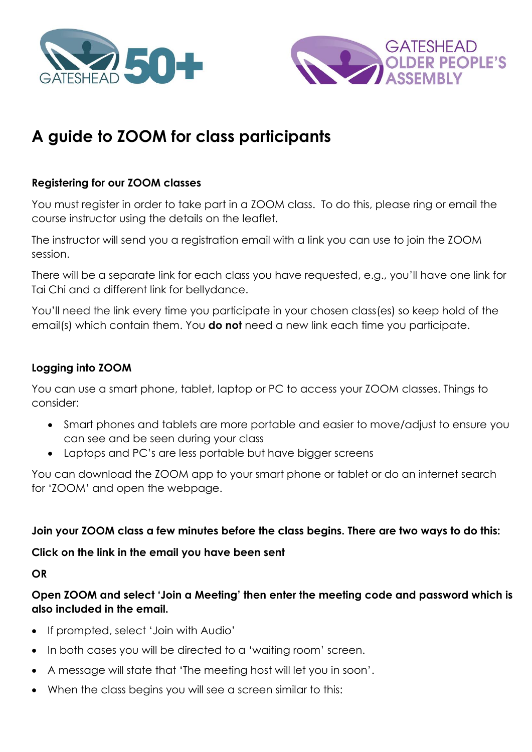



# **A guide to ZOOM for class participants**

## **Registering for our ZOOM classes**

You must register in order to take part in a ZOOM class. To do this, please ring or email the course instructor using the details on the leaflet.

The instructor will send you a registration email with a link you can use to join the ZOOM session.

There will be a separate link for each class you have requested, e.g., you'll have one link for Tai Chi and a different link for bellydance.

You'll need the link every time you participate in your chosen class(es) so keep hold of the email(s) which contain them. You **do not** need a new link each time you participate.

## **Logging into ZOOM**

You can use a smart phone, tablet, laptop or PC to access your ZOOM classes. Things to consider:

- Smart phones and tablets are more portable and easier to move/adjust to ensure you can see and be seen during your class
- Laptops and PC's are less portable but have bigger screens

You can download the ZOOM app to your smart phone or tablet or do an internet search for 'ZOOM' and open the webpage.

**Join your ZOOM class a few minutes before the class begins. There are two ways to do this:**

**Click on the link in the email you have been sent**

**OR**

**Open ZOOM and select 'Join a Meeting' then enter the meeting code and password which is also included in the email.**

- If prompted, select 'Join with Audio'
- In both cases you will be directed to a 'waiting room' screen.
- A message will state that 'The meeting host will let you in soon'.
- When the class begins you will see a screen similar to this: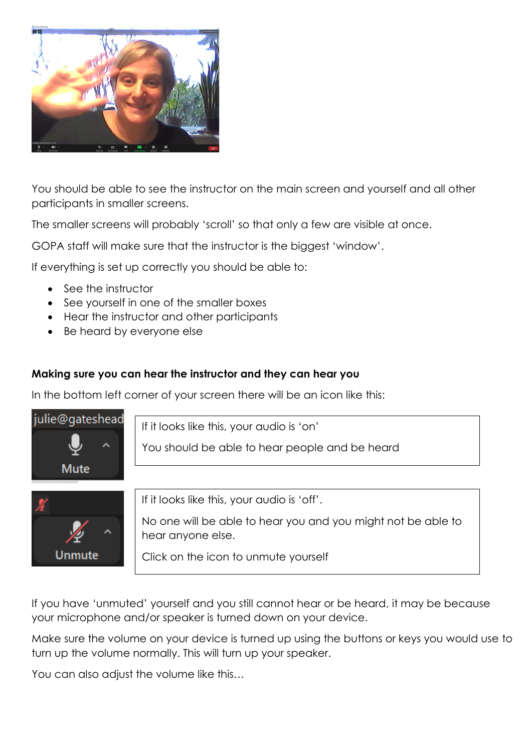

You should be able to see the instructor on the main screen and yourself and all other participants in smaller screens.

The smaller screens will probably 'scroll' so that only a few are visible at once.

GOPA staff will make sure that the instructor is the biggest 'window'.

If everything is set up correctly you should be able to:

- See the instructor
- See yourself in one of the smaller boxes
- Hear the instructor and other participants
- Be heard by everyone else

## **Making sure you can hear the instructor and they can hear you**

In the bottom left corner of your screen there will be an icon like this:



If you have 'unmuted' yourself and you still cannot hear or be heard, it may be because your microphone and/or speaker is turned down on your device.

Make sure the volume on your device is turned up using the buttons or keys you would use to turn up the volume normally. This will turn up your speaker.

You can also adjust the volume like this…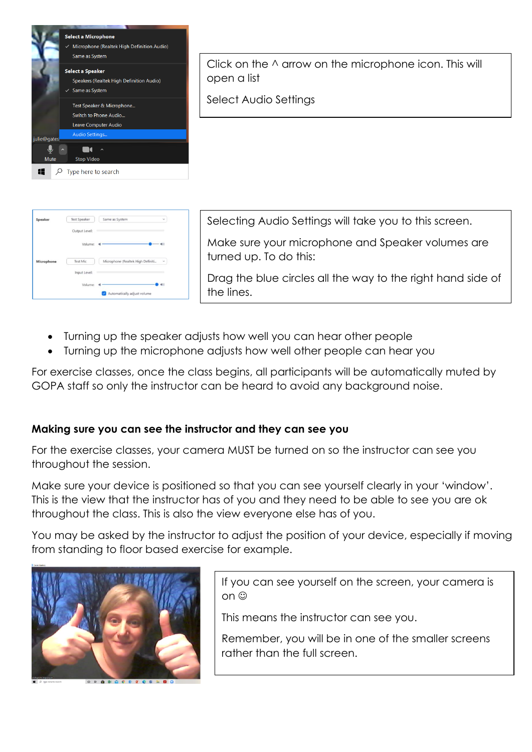

Click on the ^ arrow on the microphone icon. This will open a list

Select Audio Settings

| Speaker    | <b>Test Speaker</b> | Same as System<br>$\checkmark$                |
|------------|---------------------|-----------------------------------------------|
|            | Output Level:       |                                               |
|            | Volume:             | (1)                                           |
| Microphone | <b>Test Mic</b>     | Microphone (Realtek High Definiti<br>$\omega$ |
|            | Input Level:        |                                               |
|            | Volume:             |                                               |
|            |                     | Automatically adjust volume                   |

Selecting Audio Settings will take you to this screen.

Make sure your microphone and Speaker volumes are turned up. To do this:

Drag the blue circles all the way to the right hand side of the lines.

- Turning up the speaker adjusts how well you can hear other people
- Turning up the microphone adjusts how well other people can hear you

For exercise classes, once the class begins, all participants will be automatically muted by GOPA staff so only the instructor can be heard to avoid any background noise.

## **Making sure you can see the instructor and they can see you**

For the exercise classes, your camera MUST be turned on so the instructor can see you throughout the session.

Make sure your device is positioned so that you can see yourself clearly in your 'window'. This is the view that the instructor has of you and they need to be able to see you are ok throughout the class. This is also the view everyone else has of you.

You may be asked by the instructor to adjust the position of your device, especially if moving from standing to floor based exercise for example.



If you can see yourself on the screen, your camera is on ©

This means the instructor can see you.

Remember, you will be in one of the smaller screens rather than the full screen.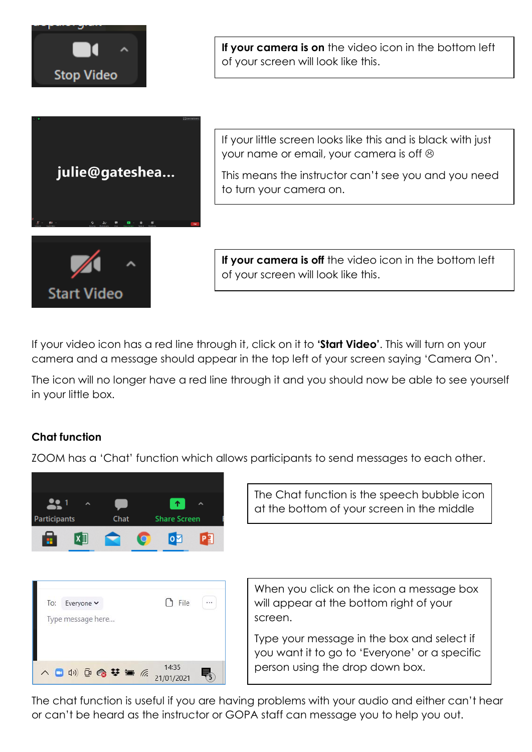

If your video icon has a red line through it, click on it to **'Start Video'**. This will turn on your camera and a message should appear in the top left of your screen saying 'Camera On'.

The icon will no longer have a red line through it and you should now be able to see yourself in your little box.

## **Chat function**

ZOOM has a 'Chat' function which allows participants to send messages to each other.



The Chat function is the speech bubble icon at the bottom of your screen in the middle



When you click on the icon a message box will appear at the bottom right of your screen.

Type your message in the box and select if you want it to go to 'Everyone' or a specific person using the drop down box.

The chat function is useful if you are having problems with your audio and either can't hear or can't be heard as the instructor or GOPA staff can message you to help you out.